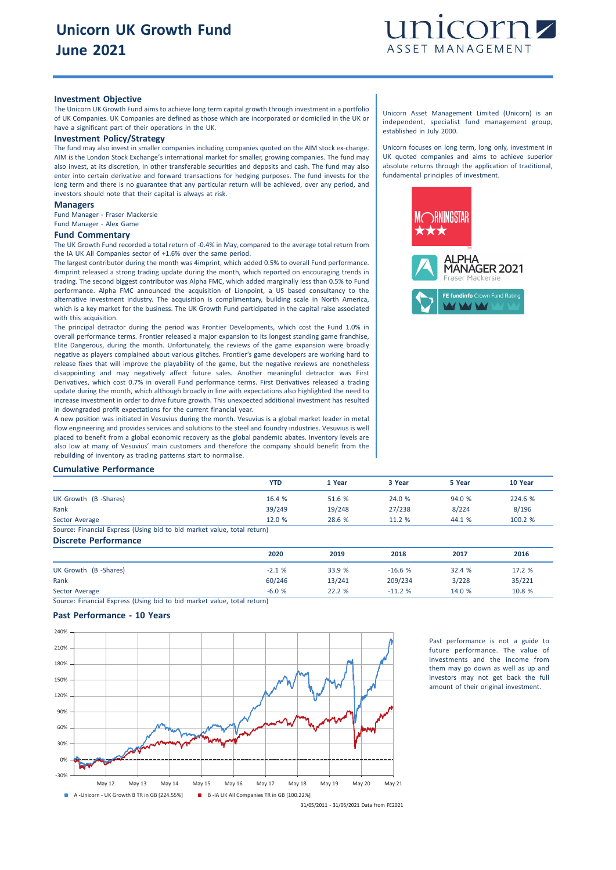

### **Investment Objective**

The Unicorn UK Growth Fund aims to achieve long term capital growth through investment in a portfolio of UK Companies. UK Companies are defined as those which are incorporated or domiciled in the UK or have a significant part of their operations in the UK.

# **Investment Policy/Strategy**

The fund may also invest in smaller companies including companies quoted on the AIM stock ex-change. AIM is the London Stock Exchange's international market for smaller, growing companies. The fund may also invest, at its discretion, in other transferable securities and deposits and cash. The fund may also enter into certain derivative and forward transactions for hedging purposes. The fund invests for the long term and there is no guarantee that any particular return will be achieved, over any period, and investors should note that their capital is always at risk.

#### **Managers**

Fund Manager - Fraser Mackersie Fund Manager - Alex Game

#### **Fund Commentary**

The UK Growth Fund recorded a total return of -0.4% in May, compared to the average total return from the IA UK All Companies sector of +1.6% over the same period.

The largest contributor during the month was 4imprint, which added 0.5% to overall Fund performance. 4imprint released a strong trading update during the month, which reported on encouraging trends in trading. The second biggest contributor was Alpha FMC, which added marginally less than 0.5% to Fund performance. Alpha FMC announced the acquisition of Lionpoint, a US based consultancy to the alternative investment industry. The acquisition is complimentary, building scale in North America, which is a key market for the business. The UK Growth Fund participated in the capital raise associated with this acquisition.

The principal detractor during the period was Frontier Developments, which cost the Fund 1.0% in overall performance terms. Frontier released a major expansion to its longest standing game franchise, Elite Dangerous, during the month. Unfortunately, the reviews of the game expansion were broadly negative as players complained about various glitches. Frontier's game developers are working hard to release fixes that will improve the playability of the game, but the negative reviews are nonetheless disappointing and may negatively affect future sales. Another meaningful detractor was First Derivatives, which cost 0.7% in overall Fund performance terms. First Derivatives released a trading update during the month, which although broadly in line with expectations also highlighted the need to increase investment in order to drive future growth. This unexpected additional investment has resulted in downgraded profit expectations for the current financial year.

A new position was initiated in Vesuvius during the month. Vesuvius is a global market leader in metal flow engineering and provides services and solutions to the steel and foundry industries. Vesuvius is well placed to benefit from a global economic recovery as the global pandemic abates. Inventory levels are also low at many of Vesuvius' main customers and therefore the company should benefit from the rebuilding of inventory as trading patterns start to normalise.

#### Unicorn Asset Management Limited (Unicorn) is an independent, specialist fund management group, established in July 2000.

Unicorn focuses on long term, long only, investment in UK quoted companies and aims to achieve superior absolute returns through the application of traditional, fundamental principles of investment.



# **Cumulative Performance**

|                                                                         | <b>YTD</b> | 1 Year | 3 Year | 5 Year | 10 Year |
|-------------------------------------------------------------------------|------------|--------|--------|--------|---------|
| UK Growth (B -Shares)                                                   | 16.4 %     | 51.6 % | 24.0 % | 94.0%  | 224.6 % |
| Rank                                                                    | 39/249     | 19/248 | 27/238 | 8/224  | 8/196   |
| Sector Average                                                          | 12.0%      | 28.6 % | 11.2%  | 44.1 % | 100.2 % |
| Source: Financial Express (Using bid to bid market value, total return) |            |        |        |        |         |

**Discrete Performance**

|                      | 2020    | 2019   | 2018     | 2017   | 2016   |
|----------------------|---------|--------|----------|--------|--------|
| UK Growth (B-Shares) | $-2.1%$ | 33.9 % | $-16.6%$ | 32.4 % | 17.2 % |
| Rank                 | 60/246  | 13/241 | 209/234  | 3/228  | 35/221 |
| Sector Average       | $-6.0%$ | 22.2%  | $-11.2%$ | 14.0 % | 10.8 % |

Source: Financial Express (Using bid to bid market value, total return)

# **Past Performance - 10 Years**



Past performance is not a guide to future performance. The value of investments and the income from them may go down as well as up and investors may not get back the full amount of their original investment.

31/05/2011 - 31/05/2021 Data from FE2021